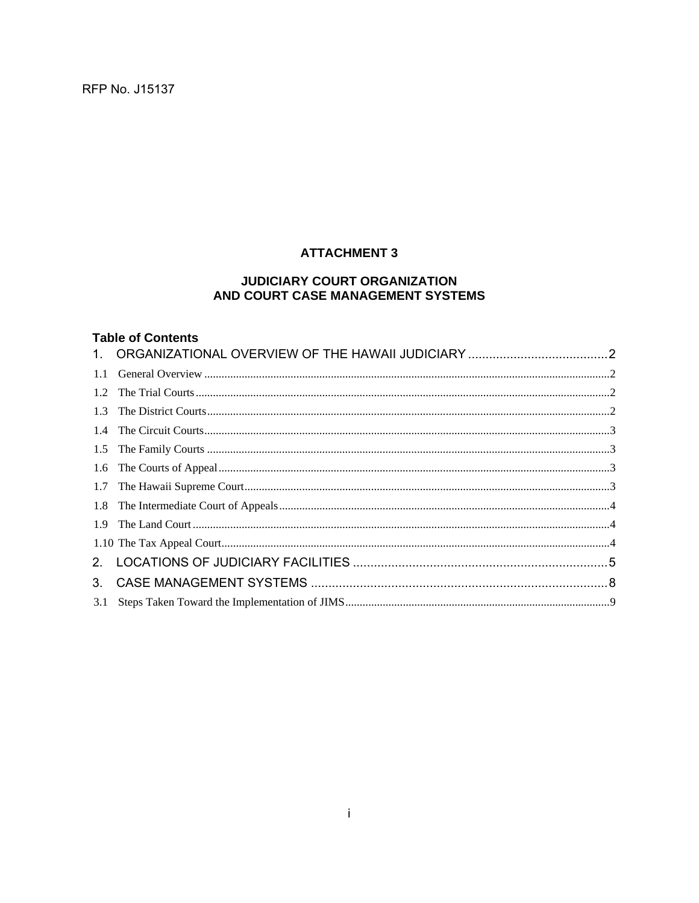RFP No. J15137

## **ATTACHMENT 3**

#### JUDICIARY COURT ORGANIZATION AND COURT CASE MANAGEMENT SYSTEMS

### **Table of Contents**

| 3.1 |  |
|-----|--|
|     |  |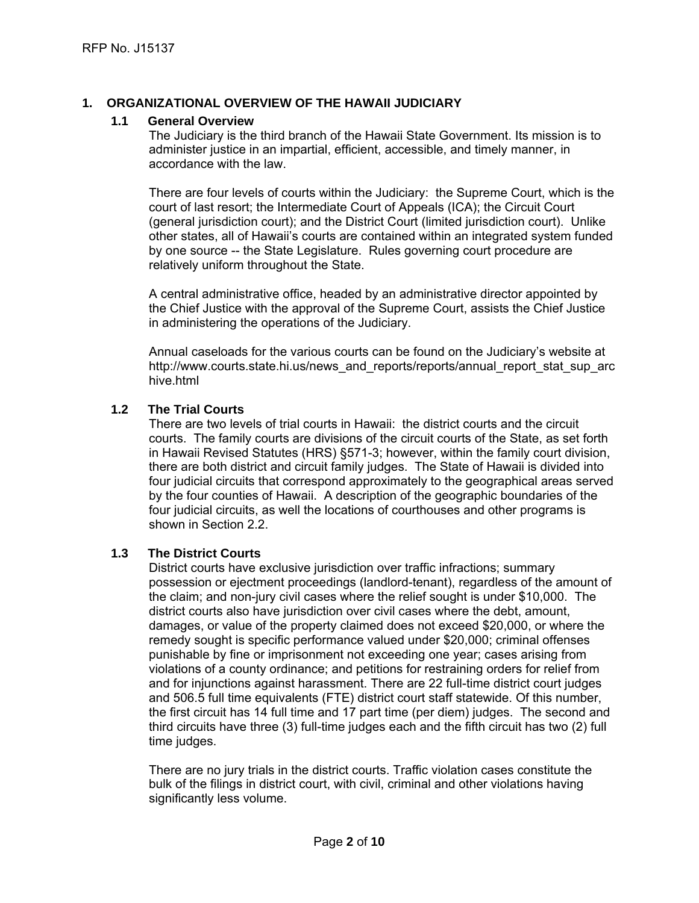#### **1. ORGANIZATIONAL OVERVIEW OF THE HAWAII JUDICIARY**

#### **1.1 General Overview**

The Judiciary is the third branch of the Hawaii State Government. Its mission is to administer justice in an impartial, efficient, accessible, and timely manner, in accordance with the law.

There are four levels of courts within the Judiciary: the Supreme Court, which is the court of last resort; the Intermediate Court of Appeals (ICA); the Circuit Court (general jurisdiction court); and the District Court (limited jurisdiction court). Unlike other states, all of Hawaii's courts are contained within an integrated system funded by one source -- the State Legislature. Rules governing court procedure are relatively uniform throughout the State.

A central administrative office, headed by an administrative director appointed by the Chief Justice with the approval of the Supreme Court, assists the Chief Justice in administering the operations of the Judiciary.

Annual caseloads for the various courts can be found on the Judiciary's website at http://www.courts.state.hi.us/news\_and\_reports/reports/annual\_report\_stat\_sup\_arc hive.html

#### **1.2 The Trial Courts**

There are two levels of trial courts in Hawaii: the district courts and the circuit courts. The family courts are divisions of the circuit courts of the State, as set forth in Hawaii Revised Statutes (HRS) §571-3; however, within the family court division, there are both district and circuit family judges. The State of Hawaii is divided into four judicial circuits that correspond approximately to the geographical areas served by the four counties of Hawaii. A description of the geographic boundaries of the four judicial circuits, as well the locations of courthouses and other programs is shown in Section 2.2.

#### **1.3 The District Courts**

time judges. District courts have exclusive jurisdiction over traffic infractions; summary possession or ejectment proceedings (landlord-tenant), regardless of the amount of the claim; and non-jury civil cases where the relief sought is under \$10,000. The district courts also have jurisdiction over civil cases where the debt, amount, damages, or value of the property claimed does not exceed \$20,000, or where the remedy sought is specific performance valued under \$20,000; criminal offenses punishable by fine or imprisonment not exceeding one year; cases arising from violations of a county ordinance; and petitions for restraining orders for relief from and for injunctions against harassment. There are 22 full-time district court judges and 506.5 full time equivalents (FTE) district court staff statewide. Of this number, the first circuit has 14 full time and 17 part time (per diem) judges. The second and third circuits have three (3) full-time judges each and the fifth circuit has two (2) full

There are no jury trials in the district courts. Traffic violation cases constitute the bulk of the filings in district court, with civil, criminal and other violations having significantly less volume.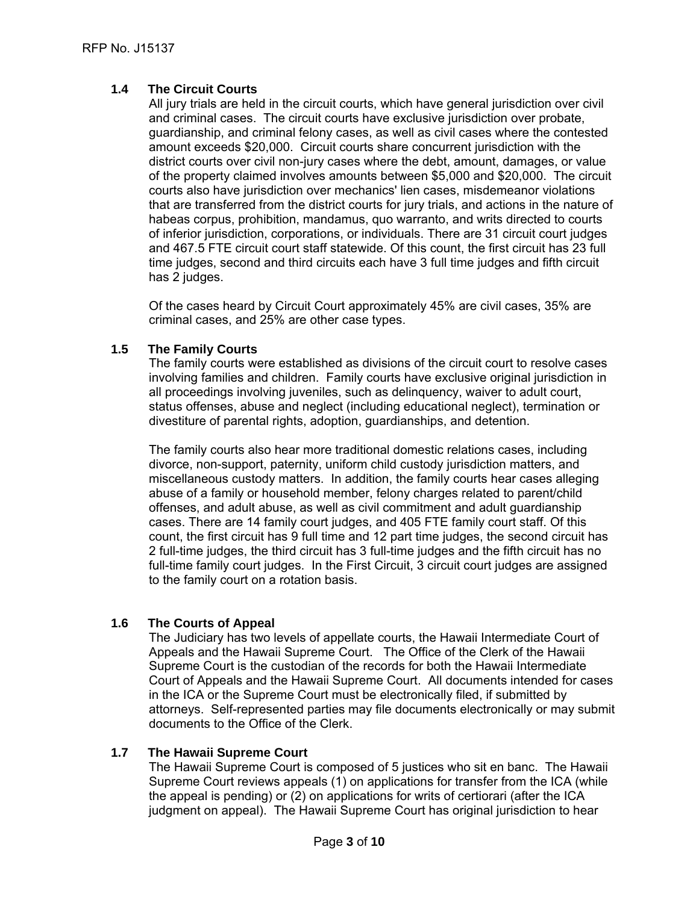#### **1.4 The Circuit Courts**

All jury trials are held in the circuit courts, which have general jurisdiction over civil and criminal cases. The circuit courts have exclusive jurisdiction over probate, guardianship, and criminal felony cases, as well as civil cases where the contested amount exceeds \$20,000. Circuit courts share concurrent jurisdiction with the district courts over civil non-jury cases where the debt, amount, damages, or value of the property claimed involves amounts between \$5,000 and \$20,000. The circuit courts also have jurisdiction over mechanics' lien cases, misdemeanor violations that are transferred from the district courts for jury trials, and actions in the nature of habeas corpus, prohibition, mandamus, quo warranto, and writs directed to courts of inferior jurisdiction, corporations, or individuals. There are 31 circuit court judges and 467.5 FTE circuit court staff statewide. Of this count, the first circuit has 23 full time judges, second and third circuits each have 3 full time judges and fifth circuit has 2 judges.

Of the cases heard by Circuit Court approximately 45% are civil cases, 35% are criminal cases, and 25% are other case types.

#### **1.5 The Family Courts**

The family courts were established as divisions of the circuit court to resolve cases involving families and children. Family courts have exclusive original jurisdiction in all proceedings involving juveniles, such as delinquency, waiver to adult court, status offenses, abuse and neglect (including educational neglect), termination or divestiture of parental rights, adoption, guardianships, and detention.

The family courts also hear more traditional domestic relations cases, including divorce, non-support, paternity, uniform child custody jurisdiction matters, and miscellaneous custody matters. In addition, the family courts hear cases alleging abuse of a family or household member, felony charges related to parent/child offenses, and adult abuse, as well as civil commitment and adult guardianship cases. There are 14 family court judges, and 405 FTE family court staff. Of this count, the first circuit has 9 full time and 12 part time judges, the second circuit has 2 full-time judges, the third circuit has 3 full-time judges and the fifth circuit has no full-time family court judges. In the First Circuit, 3 circuit court judges are assigned to the family court on a rotation basis.

#### **1.6 The Courts of Appeal**

The Judiciary has two levels of appellate courts, the Hawaii Intermediate Court of Appeals and the Hawaii Supreme Court. The Office of the Clerk of the Hawaii Supreme Court is the custodian of the records for both the Hawaii Intermediate Court of Appeals and the Hawaii Supreme Court. All documents intended for cases in the ICA or the Supreme Court must be electronically filed, if submitted by attorneys. Self-represented parties may file documents electronically or may submit documents to the Office of the Clerk.

#### **1.7 The Hawaii Supreme Court**

The Hawaii Supreme Court is composed of 5 justices who sit en banc. The Hawaii Supreme Court reviews appeals (1) on applications for transfer from the ICA (while the appeal is pending) or (2) on applications for writs of certiorari (after the ICA judgment on appeal). The Hawaii Supreme Court has original jurisdiction to hear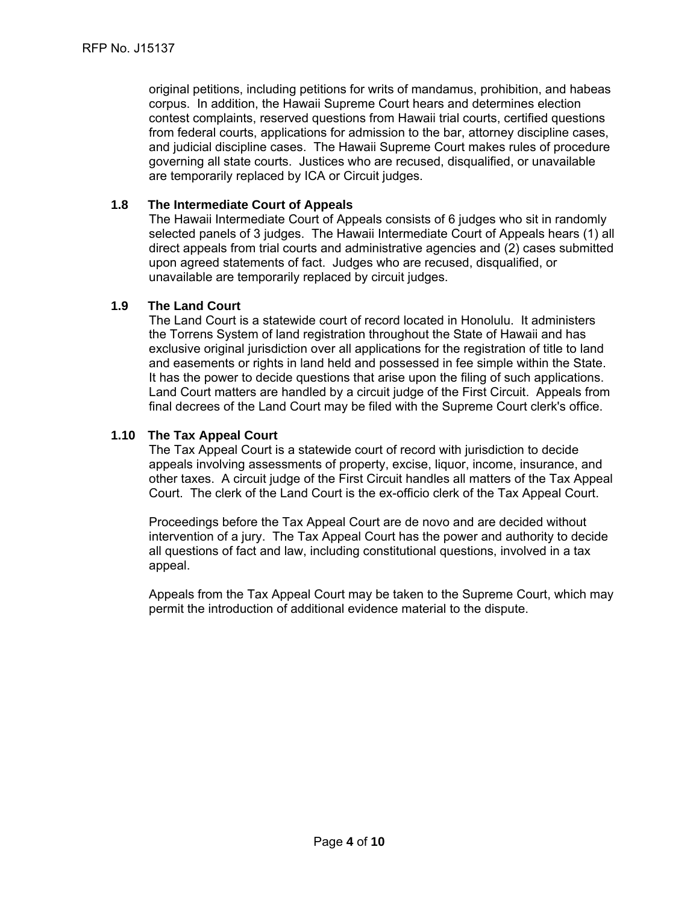original petitions, including petitions for writs of mandamus, prohibition, and habeas corpus. In addition, the Hawaii Supreme Court hears and determines election contest complaints, reserved questions from Hawaii trial courts, certified questions from federal courts, applications for admission to the bar, attorney discipline cases, and judicial discipline cases. The Hawaii Supreme Court makes rules of procedure governing all state courts. Justices who are recused, disqualified, or unavailable are temporarily replaced by ICA or Circuit judges.

#### **1.8 The Intermediate Court of Appeals**

The Hawaii Intermediate Court of Appeals consists of 6 judges who sit in randomly selected panels of 3 judges. The Hawaii Intermediate Court of Appeals hears (1) all direct appeals from trial courts and administrative agencies and (2) cases submitted upon agreed statements of fact. Judges who are recused, disqualified, or unavailable are temporarily replaced by circuit judges.

#### **1.9 The Land Court**

The Land Court is a statewide court of record located in Honolulu. It administers the Torrens System of land registration throughout the State of Hawaii and has exclusive original jurisdiction over all applications for the registration of title to land and easements or rights in land held and possessed in fee simple within the State. It has the power to decide questions that arise upon the filing of such applications. Land Court matters are handled by a circuit judge of the First Circuit. Appeals from final decrees of the Land Court may be filed with the Supreme Court clerk's office.

#### **1.10 The Tax Appeal Court**

The Tax Appeal Court is a statewide court of record with jurisdiction to decide appeals involving assessments of property, excise, liquor, income, insurance, and other taxes. A circuit judge of the First Circuit handles all matters of the Tax Appeal Court. The clerk of the Land Court is the ex-officio clerk of the Tax Appeal Court.

Proceedings before the Tax Appeal Court are de novo and are decided without intervention of a jury. The Tax Appeal Court has the power and authority to decide all questions of fact and law, including constitutional questions, involved in a tax appeal.

Appeals from the Tax Appeal Court may be taken to the Supreme Court, which may permit the introduction of additional evidence material to the dispute.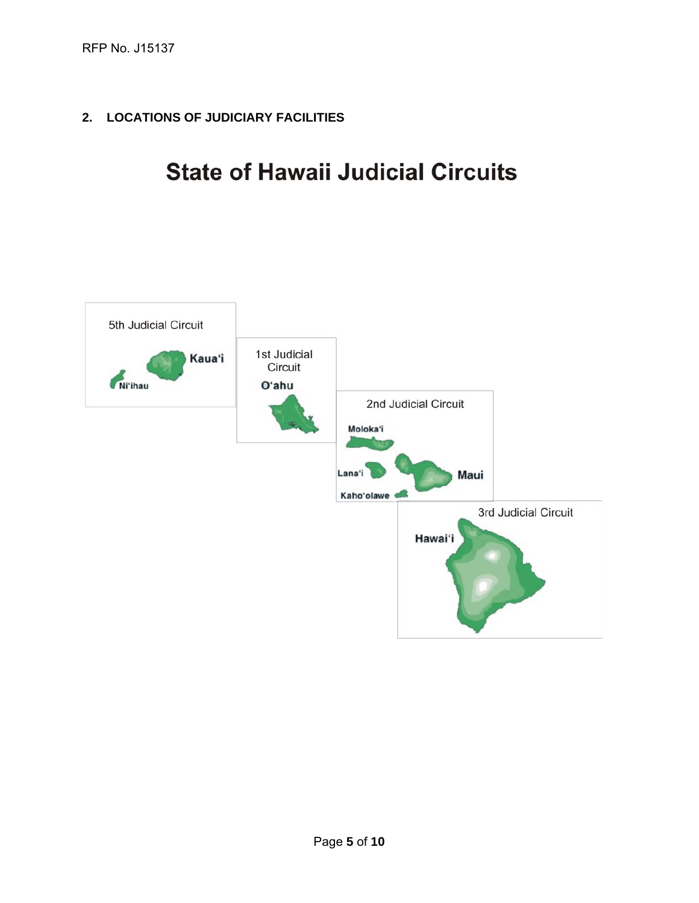**2. LOCATIONS OF JUDICIARY FACILITIES** 

# **State of Hawaii Judicial Circuits**

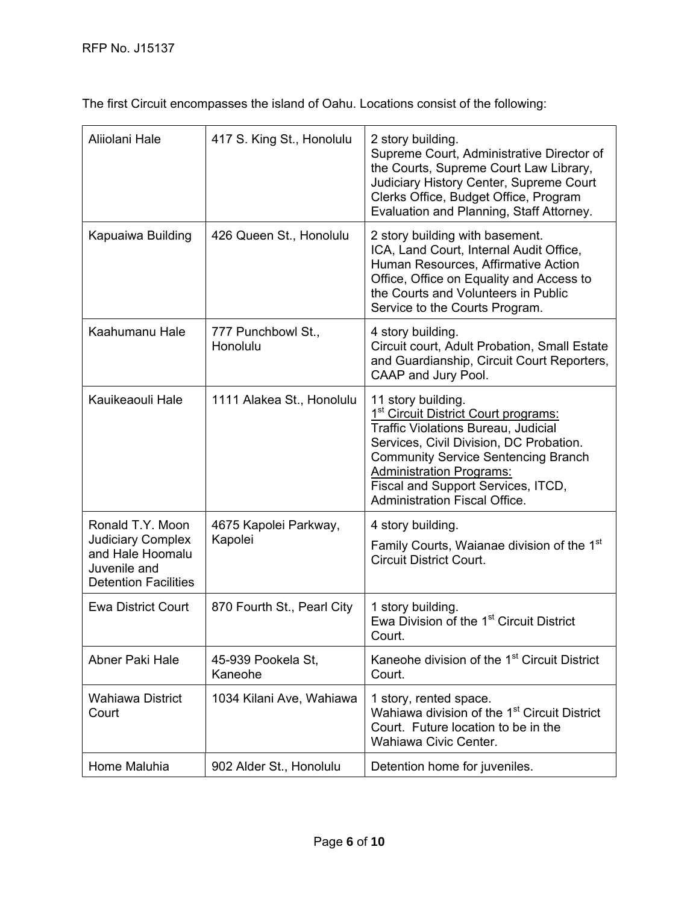The first Circuit encompasses the island of Oahu. Locations consist of the following:

| Aliiolani Hale                                                                                                  | 417 S. King St., Honolulu        | 2 story building.<br>Supreme Court, Administrative Director of<br>the Courts, Supreme Court Law Library,<br>Judiciary History Center, Supreme Court<br>Clerks Office, Budget Office, Program<br>Evaluation and Planning, Staff Attorney.                                                                                       |
|-----------------------------------------------------------------------------------------------------------------|----------------------------------|--------------------------------------------------------------------------------------------------------------------------------------------------------------------------------------------------------------------------------------------------------------------------------------------------------------------------------|
| Kapuaiwa Building                                                                                               | 426 Queen St., Honolulu          | 2 story building with basement.<br>ICA, Land Court, Internal Audit Office,<br>Human Resources, Affirmative Action<br>Office, Office on Equality and Access to<br>the Courts and Volunteers in Public<br>Service to the Courts Program.                                                                                         |
| Kaahumanu Hale                                                                                                  | 777 Punchbowl St.,<br>Honolulu   | 4 story building.<br>Circuit court, Adult Probation, Small Estate<br>and Guardianship, Circuit Court Reporters,<br>CAAP and Jury Pool.                                                                                                                                                                                         |
| Kauikeaouli Hale                                                                                                | 1111 Alakea St., Honolulu        | 11 story building.<br>1 <sup>st</sup> Circuit District Court programs:<br><b>Traffic Violations Bureau, Judicial</b><br>Services, Civil Division, DC Probation.<br><b>Community Service Sentencing Branch</b><br><b>Administration Programs:</b><br>Fiscal and Support Services, ITCD,<br><b>Administration Fiscal Office.</b> |
| Ronald T.Y. Moon<br><b>Judiciary Complex</b><br>and Hale Hoomalu<br>Juvenile and<br><b>Detention Facilities</b> | 4675 Kapolei Parkway,<br>Kapolei | 4 story building.<br>Family Courts, Waianae division of the 1 <sup>st</sup><br><b>Circuit District Court.</b>                                                                                                                                                                                                                  |
| <b>Ewa District Court</b>                                                                                       | 870 Fourth St., Pearl City       | 1 story building.<br>Ewa Division of the 1 <sup>st</sup> Circuit District<br>Court.                                                                                                                                                                                                                                            |
| Abner Paki Hale                                                                                                 | 45-939 Pookela St,<br>Kaneohe    | Kaneohe division of the 1 <sup>st</sup> Circuit District<br>Court.                                                                                                                                                                                                                                                             |
| <b>Wahiawa District</b><br>Court                                                                                | 1034 Kilani Ave, Wahiawa         | 1 story, rented space.<br>Wahiawa division of the 1 <sup>st</sup> Circuit District<br>Court. Future location to be in the<br>Wahiawa Civic Center.                                                                                                                                                                             |
| Home Maluhia                                                                                                    | 902 Alder St., Honolulu          | Detention home for juveniles.                                                                                                                                                                                                                                                                                                  |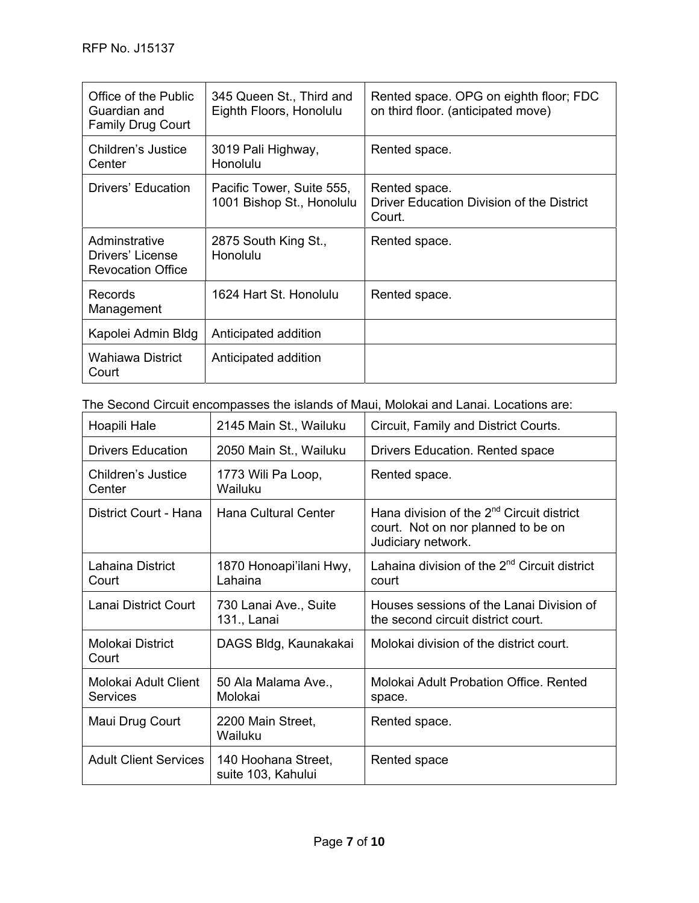| Office of the Public<br>Guardian and<br><b>Family Drug Court</b>                      | 345 Queen St., Third and<br>Eighth Floors, Honolulu    | Rented space. OPG on eighth floor; FDC<br>on third floor. (anticipated move) |  |  |
|---------------------------------------------------------------------------------------|--------------------------------------------------------|------------------------------------------------------------------------------|--|--|
| Children's Justice<br>Center                                                          | 3019 Pali Highway,<br>Honolulu                         | Rented space.                                                                |  |  |
| Drivers' Education                                                                    | Pacific Tower, Suite 555,<br>1001 Bishop St., Honolulu | Rented space.<br>Driver Education Division of the District<br>Court.         |  |  |
| Adminstrative<br>Drivers' License<br><b>Revocation Office</b>                         | 2875 South King St.,<br>Honolulu                       | Rented space.                                                                |  |  |
| <b>Records</b><br>Management                                                          | 1624 Hart St. Honolulu                                 | Rented space.                                                                |  |  |
| Kapolei Admin Bldg                                                                    | Anticipated addition                                   |                                                                              |  |  |
| Wahiawa District<br>Court                                                             | Anticipated addition                                   |                                                                              |  |  |
| The Second Circuit encompasses the islands of Maui, Molokai and Lanai. Locations are: |                                                        |                                                                              |  |  |

| Hoapili Hale                            | 2145 Main St., Wailuku                    | Circuit, Family and District Courts.                                                                              |
|-----------------------------------------|-------------------------------------------|-------------------------------------------------------------------------------------------------------------------|
| <b>Drivers Education</b>                | 2050 Main St., Wailuku                    | Drivers Education. Rented space                                                                                   |
| Children's Justice<br>Center            | 1773 Wili Pa Loop,<br>Wailuku             | Rented space.                                                                                                     |
| District Court - Hana                   | Hana Cultural Center                      | Hana division of the 2 <sup>nd</sup> Circuit district<br>court. Not on nor planned to be on<br>Judiciary network. |
| Lahaina District<br>Court               | 1870 Honoapi'ilani Hwy,<br>Lahaina        | Lahaina division of the 2 <sup>nd</sup> Circuit district<br>court                                                 |
| Lanai District Court                    | 730 Lanai Ave., Suite<br>131., Lanai      | Houses sessions of the Lanai Division of<br>the second circuit district court.                                    |
| Molokai District<br>Court               | DAGS Bldg, Kaunakakai                     | Molokai division of the district court.                                                                           |
| Molokai Adult Client<br><b>Services</b> | 50 Ala Malama Ave.,<br>Molokai            | Molokai Adult Probation Office. Rented<br>space.                                                                  |
| Maui Drug Court                         | 2200 Main Street,<br>Wailuku              | Rented space.                                                                                                     |
| <b>Adult Client Services</b>            | 140 Hoohana Street,<br>suite 103, Kahului | Rented space                                                                                                      |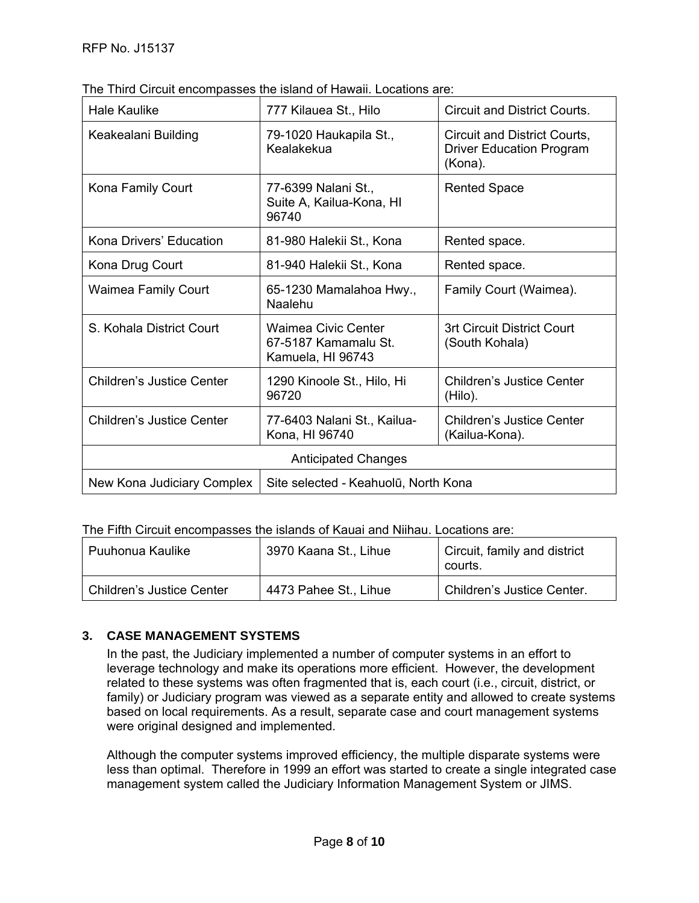| <b>Hale Kaulike</b>                                                | 777 Kilauea St., Hilo                                                   | Circuit and District Courts.                                               |  |  |
|--------------------------------------------------------------------|-------------------------------------------------------------------------|----------------------------------------------------------------------------|--|--|
| Keakealani Building                                                | 79-1020 Haukapila St.,<br>Kealakekua                                    | Circuit and District Courts,<br><b>Driver Education Program</b><br>(Kona). |  |  |
| Kona Family Court                                                  | 77-6399 Nalani St.,<br>Suite A, Kailua-Kona, HI<br>96740                | <b>Rented Space</b>                                                        |  |  |
| Kona Drivers' Education                                            | 81-980 Halekii St., Kona                                                | Rented space.                                                              |  |  |
| Kona Drug Court                                                    | 81-940 Halekii St., Kona                                                | Rented space.                                                              |  |  |
| <b>Waimea Family Court</b>                                         | 65-1230 Mamalahoa Hwy.,<br>Naalehu                                      | Family Court (Waimea).                                                     |  |  |
| S. Kohala District Court                                           | <b>Waimea Civic Center</b><br>67-5187 Kamamalu St.<br>Kamuela, HI 96743 | 3rt Circuit District Court<br>(South Kohala)                               |  |  |
| Children's Justice Center                                          | 1290 Kinoole St., Hilo, Hi<br>96720                                     | Children's Justice Center<br>(Hilo).                                       |  |  |
| Children's Justice Center                                          | 77-6403 Nalani St., Kailua-<br>Kona, HI 96740                           | Children's Justice Center<br>(Kailua-Kona).                                |  |  |
| <b>Anticipated Changes</b>                                         |                                                                         |                                                                            |  |  |
| New Kona Judiciary Complex<br>Site selected - Keahuolū, North Kona |                                                                         |                                                                            |  |  |

The Third Circuit encompasses the island of Hawaii. Locations are:

The Fifth Circuit encompasses the islands of Kauai and Niihau. Locations are:

| Puuhonua Kaulike                 | 3970 Kaana St., Lihue | Circuit, family and district<br>courts. |
|----------------------------------|-----------------------|-----------------------------------------|
| <b>Children's Justice Center</b> | 4473 Pahee St., Lihue | Children's Justice Center.              |

## **3. CASE MANAGEMENT SYSTEMS**

In the past, the Judiciary implemented a number of computer systems in an effort to leverage technology and make its operations more efficient. However, the development related to these systems was often fragmented that is, each court (i.e., circuit, district, or family) or Judiciary program was viewed as a separate entity and allowed to create systems based on local requirements. As a result, separate case and court management systems were original designed and implemented.

Although the computer systems improved efficiency, the multiple disparate systems were less than optimal. Therefore in 1999 an effort was started to create a single integrated case management system called the Judiciary Information Management System or JIMS.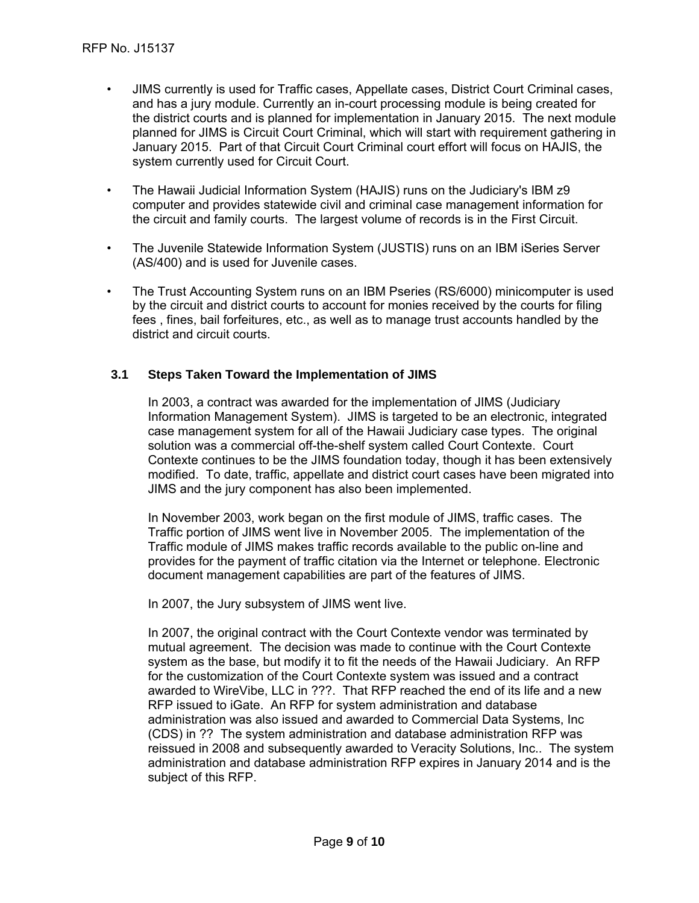- JIMS currently is used for Traffic cases, Appellate cases, District Court Criminal cases, and has a jury module. Currently an in-court processing module is being created for the district courts and is planned for implementation in January 2015. The next module planned for JIMS is Circuit Court Criminal, which will start with requirement gathering in January 2015. Part of that Circuit Court Criminal court effort will focus on HAJIS, the system currently used for Circuit Court.
- The Hawaii Judicial Information System (HAJIS) runs on the Judiciary's IBM z9 computer and provides statewide civil and criminal case management information for the circuit and family courts. The largest volume of records is in the First Circuit.
- The Juvenile Statewide Information System (JUSTIS) runs on an IBM iSeries Server (AS/400) and is used for Juvenile cases.
- The Trust Accounting System runs on an IBM Pseries (RS/6000) minicomputer is used by the circuit and district courts to account for monies received by the courts for filing fees , fines, bail forfeitures, etc., as well as to manage trust accounts handled by the district and circuit courts.

#### **3.1 Steps Taken Toward the Implementation of JIMS**

In 2003, a contract was awarded for the implementation of JIMS (Judiciary Information Management System). JIMS is targeted to be an electronic, integrated case management system for all of the Hawaii Judiciary case types. The original solution was a commercial off-the-shelf system called Court Contexte. Court Contexte continues to be the JIMS foundation today, though it has been extensively modified. To date, traffic, appellate and district court cases have been migrated into JIMS and the jury component has also been implemented.

In November 2003, work began on the first module of JIMS, traffic cases. The Traffic portion of JIMS went live in November 2005. The implementation of the Traffic module of JIMS makes traffic records available to the public on-line and provides for the payment of traffic citation via the Internet or telephone. Electronic document management capabilities are part of the features of JIMS.

In 2007, the Jury subsystem of JIMS went live.

In 2007, the original contract with the Court Contexte vendor was terminated by mutual agreement. The decision was made to continue with the Court Contexte system as the base, but modify it to fit the needs of the Hawaii Judiciary. An RFP for the customization of the Court Contexte system was issued and a contract awarded to WireVibe, LLC in ???. That RFP reached the end of its life and a new RFP issued to iGate. An RFP for system administration and database administration was also issued and awarded to Commercial Data Systems, Inc (CDS) in ?? The system administration and database administration RFP was reissued in 2008 and subsequently awarded to Veracity Solutions, Inc.. The system administration and database administration RFP expires in January 2014 and is the subject of this RFP.